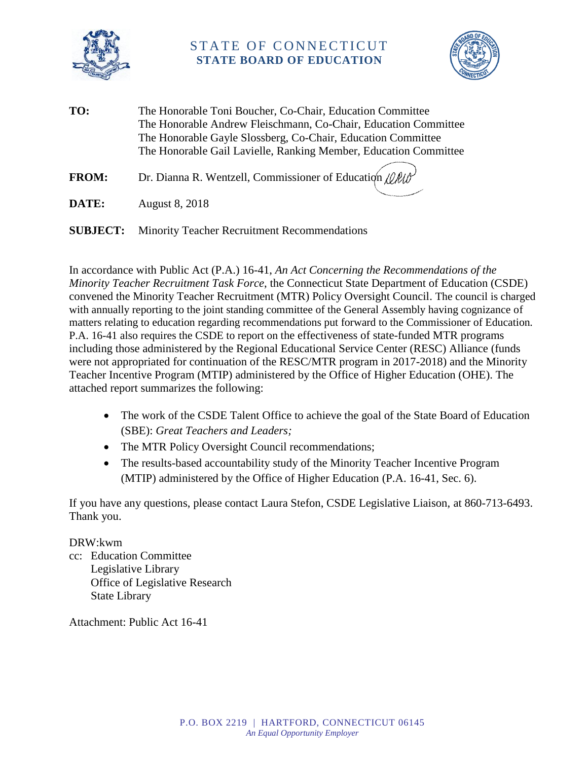

# STATE OF CONNECTICUT **STATE BOARD OF EDUCATION**



**TO:** The Honorable Toni Boucher, Co-Chair, Education Committee The Honorable Andrew Fleischmann, Co-Chair, Education Committee The Honorable Gayle Slossberg, Co-Chair, Education Committee The Honorable Gail Lavielle, Ranking Member, Education Committee

**FROM:** Dr. Dianna R. Wentzell, Commissioner of Education (OM)

**DATE:** August 8, 2018

**SUBJECT:** Minority Teacher Recruitment Recommendations

In accordance with Public Act (P.A.) 16-41, *An Act Concerning the Recommendations of the Minority Teacher Recruitment Task Force*, the Connecticut State Department of Education (CSDE) convened the Minority Teacher Recruitment (MTR) Policy Oversight Council. The council is charged with annually reporting to the joint standing committee of the General Assembly having cognizance of matters relating to education regarding recommendations put forward to the Commissioner of Education. P.A. 16-41 also requires the CSDE to report on the effectiveness of state-funded MTR programs including those administered by the Regional Educational Service Center (RESC) Alliance (funds were not appropriated for continuation of the RESC/MTR program in 2017-2018) and the Minority Teacher Incentive Program (MTIP) administered by the Office of Higher Education (OHE). The attached report summarizes the following:

- The work of the CSDE Talent Office to achieve the goal of the State Board of Education (SBE): *Great Teachers and Leaders;*
- The MTR Policy Oversight Council recommendations;
- The results-based accountability study of the Minority Teacher Incentive Program (MTIP) administered by the Office of Higher Education (P.A. 16-41, Sec. 6).

If you have any questions, please contact Laura Stefon, CSDE Legislative Liaison, at 860-713-6493. Thank you.

## DRW:kwm

cc: Education Committee Legislative Library Office of Legislative Research State Library

Attachment: Public Act 16-41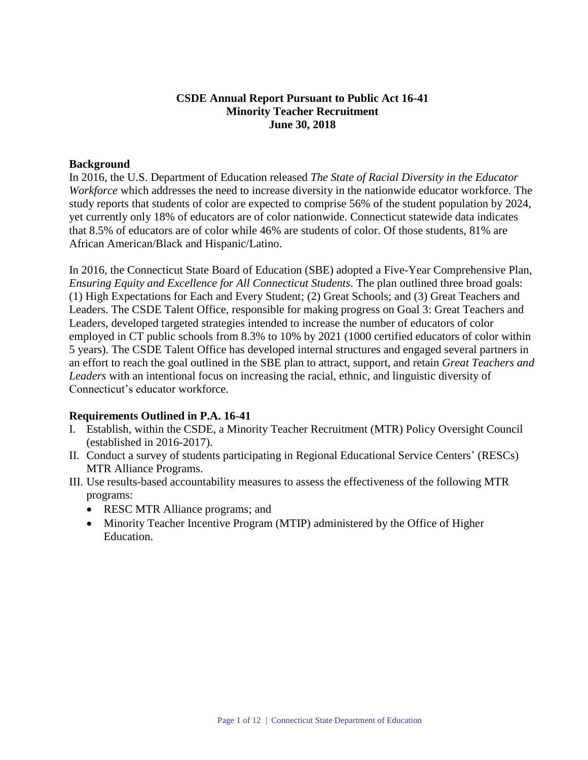## **CSDE Annual Report Pursuant to Public Act 16-41 Minority Teacher Recruitment June 30, 2018**

## **Background**

In 2016, the U.S. Department of Education released *The State of Racial Diversity in the Educator Workforce* which addresses the need to increase diversity in the nationwide educator workforce. The study reports that students of color are expected to comprise 56% of the student population by 2024, yet currently only 18% of educators are of color nationwide. Connecticut statewide data indicates that 8.5% of educators are of color while 46% are students of color. Of those students, 81% are African American/Black and Hispanic/Latino.

In 2016, the Connecticut State Board of Education (SBE) adopted a Five-Year Comprehensive Plan, *Ensuring Equity and Excellence for All Connecticut Students*. The plan outlined three broad goals: (1) High Expectations for Each and Every Student; (2) Great Schools; and (3) Great Teachers and Leaders. The CSDE Talent Office, responsible for making progress on Goal 3: Great Teachers and Leaders, developed targeted strategies intended to increase the number of educators of color employed in CT public schools from 8.3% to 10% by 2021 (1000 certified educators of color within 5 years). The CSDE Talent Office has developed internal structures and engaged several partners in an effort to reach the goal outlined in the SBE plan to attract, support, and retain *Great Teachers and Leaders* with an intentional focus on increasing the racial, ethnic, and linguistic diversity of Connecticut's educator workforce.

## **Requirements Outlined in P.A. 16-41**

- I. Establish, within the CSDE, a Minority Teacher Recruitment (MTR) Policy Oversight Council (established in 2016-2017).
- II. Conduct a survey of students participating in Regional Educational Service Centers' (RESCs) MTR Alliance Programs.
- III. Use results-based accountability measures to assess the effectiveness of the following MTR programs:
	- RESC MTR Alliance programs; and
	- Minority Teacher Incentive Program (MTIP) administered by the Office of Higher Education.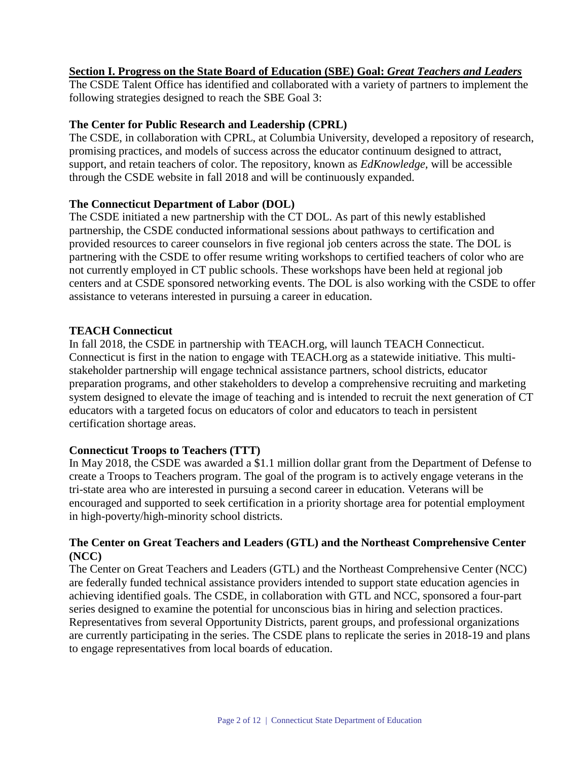## **Section I. Progress on the State Board of Education (SBE) Goal:** *Great Teachers and Leaders*

The CSDE Talent Office has identified and collaborated with a variety of partners to implement the following strategies designed to reach the SBE Goal 3:

#### **The Center for Public Research and Leadership (CPRL)**

The CSDE, in collaboration with CPRL, at Columbia University, developed a repository of research, promising practices, and models of success across the educator continuum designed to attract, support, and retain teachers of color. The repository, known as *EdKnowledge,* will be accessible through the CSDE website in fall 2018 and will be continuously expanded.

## **The Connecticut Department of Labor (DOL)**

The CSDE initiated a new partnership with the CT DOL. As part of this newly established partnership, the CSDE conducted informational sessions about pathways to certification and provided resources to career counselors in five regional job centers across the state. The DOL is partnering with the CSDE to offer resume writing workshops to certified teachers of color who are not currently employed in CT public schools. These workshops have been held at regional job centers and at CSDE sponsored networking events. The DOL is also working with the CSDE to offer assistance to veterans interested in pursuing a career in education.

## **TEACH Connecticut**

In fall 2018, the CSDE in partnership with TEACH.org, will launch TEACH Connecticut. Connecticut is first in the nation to engage with TEACH.org as a statewide initiative. This multistakeholder partnership will engage technical assistance partners, school districts, educator preparation programs, and other stakeholders to develop a comprehensive recruiting and marketing system designed to elevate the image of teaching and is intended to recruit the next generation of CT educators with a targeted focus on educators of color and educators to teach in persistent certification shortage areas.

## **Connecticut Troops to Teachers (TTT)**

In May 2018, the CSDE was awarded a \$1.1 million dollar grant from the Department of Defense to create a Troops to Teachers program. The goal of the program is to actively engage veterans in the tri-state area who are interested in pursuing a second career in education. Veterans will be encouraged and supported to seek certification in a priority shortage area for potential employment in high-poverty/high-minority school districts.

## **The Center on Great Teachers and Leaders (GTL) and the Northeast Comprehensive Center (NCC)**

The Center on Great Teachers and Leaders (GTL) and the Northeast Comprehensive Center (NCC) are federally funded technical assistance providers intended to support state education agencies in achieving identified goals. The CSDE, in collaboration with GTL and NCC, sponsored a four-part series designed to examine the potential for unconscious bias in hiring and selection practices. Representatives from several Opportunity Districts, parent groups, and professional organizations are currently participating in the series. The CSDE plans to replicate the series in 2018-19 and plans to engage representatives from local boards of education.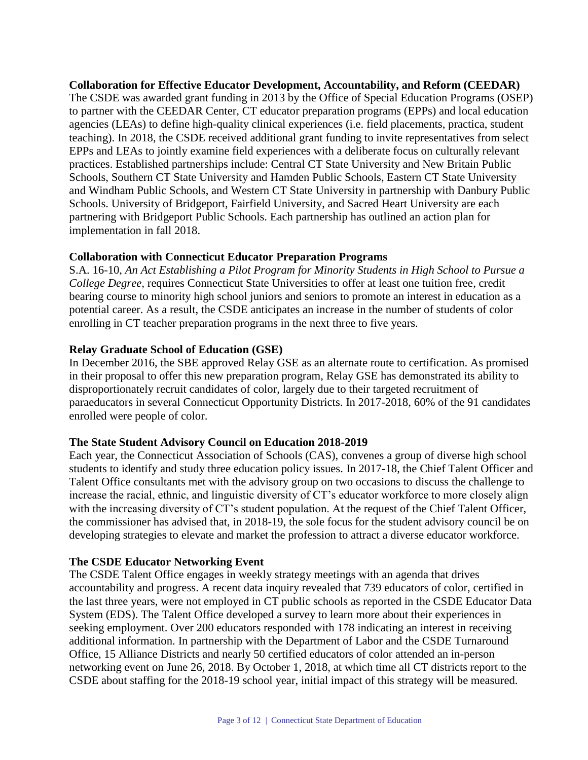**Collaboration for Effective Educator Development, Accountability, and Reform (CEEDAR)** The CSDE was awarded grant funding in 2013 by the Office of Special Education Programs (OSEP) to partner with the CEEDAR Center, CT educator preparation programs (EPPs) and local education agencies (LEAs) to define high-quality clinical experiences (i.e. field placements, practica, student teaching). In 2018, the CSDE received additional grant funding to invite representatives from select EPPs and LEAs to jointly examine field experiences with a deliberate focus on culturally relevant practices. Established partnerships include: Central CT State University and New Britain Public Schools, Southern CT State University and Hamden Public Schools, Eastern CT State University and Windham Public Schools, and Western CT State University in partnership with Danbury Public Schools. University of Bridgeport, Fairfield University, and Sacred Heart University are each partnering with Bridgeport Public Schools. Each partnership has outlined an action plan for implementation in fall 2018.

## **Collaboration with Connecticut Educator Preparation Programs**

S.A. 16-10, *An Act Establishing a Pilot Program for Minority Students in High School to Pursue a College Degree,* requires Connecticut State Universities to offer at least one tuition free, credit bearing course to minority high school juniors and seniors to promote an interest in education as a potential career. As a result, the CSDE anticipates an increase in the number of students of color enrolling in CT teacher preparation programs in the next three to five years.

## **Relay Graduate School of Education (GSE)**

In December 2016, the SBE approved Relay GSE as an alternate route to certification. As promised in their proposal to offer this new preparation program, Relay GSE has demonstrated its ability to disproportionately recruit candidates of color, largely due to their targeted recruitment of paraeducators in several Connecticut Opportunity Districts. In 2017-2018, 60% of the 91 candidates enrolled were people of color.

## **The State Student Advisory Council on Education 2018-2019**

Each year, the Connecticut Association of Schools (CAS), convenes a group of diverse high school students to identify and study three education policy issues. In 2017-18, the Chief Talent Officer and Talent Office consultants met with the advisory group on two occasions to discuss the challenge to increase the racial, ethnic, and linguistic diversity of CT's educator workforce to more closely align with the increasing diversity of CT's student population. At the request of the Chief Talent Officer, the commissioner has advised that, in 2018-19, the sole focus for the student advisory council be on developing strategies to elevate and market the profession to attract a diverse educator workforce.

## **The CSDE Educator Networking Event**

The CSDE Talent Office engages in weekly strategy meetings with an agenda that drives accountability and progress. A recent data inquiry revealed that 739 educators of color, certified in the last three years, were not employed in CT public schools as reported in the CSDE Educator Data System (EDS). The Talent Office developed a survey to learn more about their experiences in seeking employment. Over 200 educators responded with 178 indicating an interest in receiving additional information. In partnership with the Department of Labor and the CSDE Turnaround Office, 15 Alliance Districts and nearly 50 certified educators of color attended an in-person networking event on June 26, 2018. By October 1, 2018, at which time all CT districts report to the CSDE about staffing for the 2018-19 school year, initial impact of this strategy will be measured.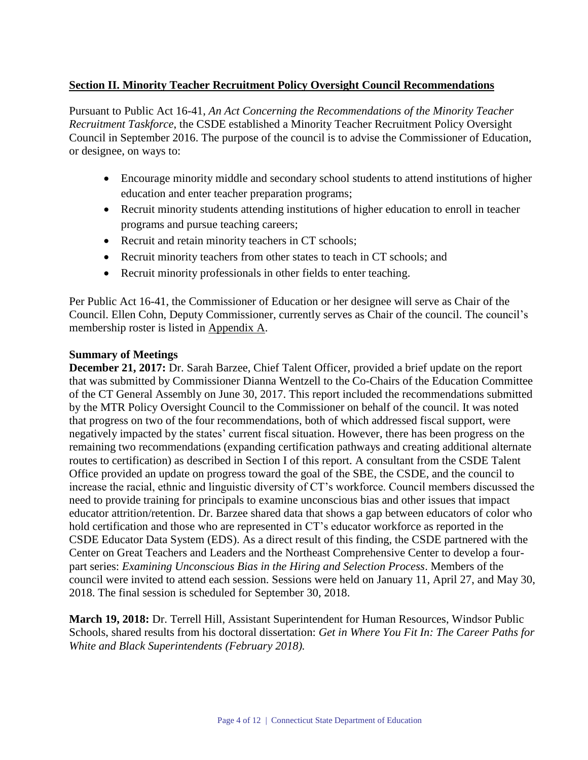## **Section II. Minority Teacher Recruitment Policy Oversight Council Recommendations**

Pursuant to Public Act 16-41, *An Act Concerning the Recommendations of the Minority Teacher Recruitment Taskforce*, the CSDE established a Minority Teacher Recruitment Policy Oversight Council in September 2016. The purpose of the council is to advise the Commissioner of Education, or designee, on ways to:

- Encourage minority middle and secondary school students to attend institutions of higher education and enter teacher preparation programs;
- Recruit minority students attending institutions of higher education to enroll in teacher programs and pursue teaching careers;
- Recruit and retain minority teachers in CT schools;
- Recruit minority teachers from other states to teach in CT schools; and
- Recruit minority professionals in other fields to enter teaching.

Per Public Act 16-41, the Commissioner of Education or her designee will serve as Chair of the Council. Ellen Cohn, Deputy Commissioner, currently serves as Chair of the council. The council's membership roster is listed in Appendix A.

## **Summary of Meetings**

**December 21, 2017:** Dr. Sarah Barzee, Chief Talent Officer, provided a brief update on the report that was submitted by Commissioner Dianna Wentzell to the Co-Chairs of the Education Committee of the CT General Assembly on June 30, 2017. This report included the recommendations submitted by the MTR Policy Oversight Council to the Commissioner on behalf of the council. It was noted that progress on two of the four recommendations, both of which addressed fiscal support, were negatively impacted by the states' current fiscal situation. However, there has been progress on the remaining two recommendations (expanding certification pathways and creating additional alternate routes to certification) as described in Section I of this report. A consultant from the CSDE Talent Office provided an update on progress toward the goal of the SBE, the CSDE, and the council to increase the racial, ethnic and linguistic diversity of CT's workforce. Council members discussed the need to provide training for principals to examine unconscious bias and other issues that impact educator attrition/retention. Dr. Barzee shared data that shows a gap between educators of color who hold certification and those who are represented in CT's educator workforce as reported in the CSDE Educator Data System (EDS). As a direct result of this finding, the CSDE partnered with the Center on Great Teachers and Leaders and the Northeast Comprehensive Center to develop a fourpart series: *Examining Unconscious Bias in the Hiring and Selection Process*. Members of the council were invited to attend each session. Sessions were held on January 11, April 27, and May 30, 2018. The final session is scheduled for September 30, 2018.

**March 19, 2018:** Dr. Terrell Hill, Assistant Superintendent for Human Resources, Windsor Public Schools, shared results from his doctoral dissertation: *Get in Where You Fit In: The Career Paths for White and Black Superintendents (February 2018).*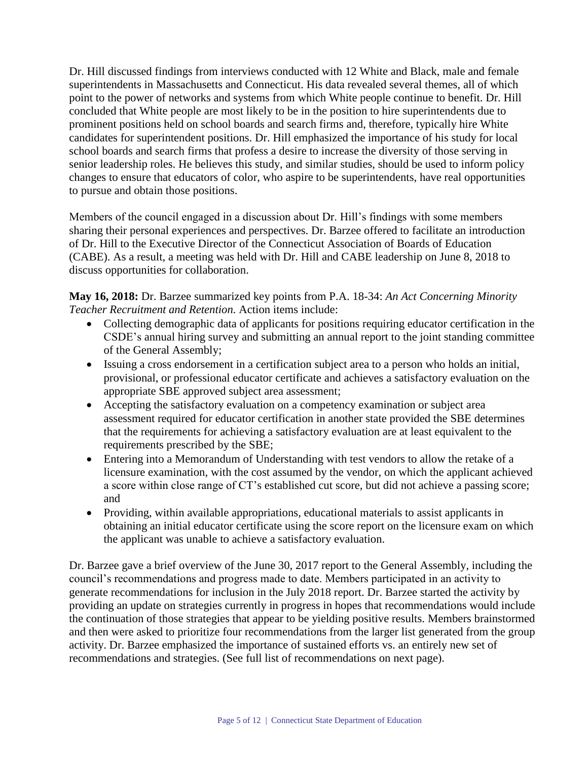Dr. Hill discussed findings from interviews conducted with 12 White and Black, male and female superintendents in Massachusetts and Connecticut. His data revealed several themes, all of which point to the power of networks and systems from which White people continue to benefit. Dr. Hill concluded that White people are most likely to be in the position to hire superintendents due to prominent positions held on school boards and search firms and, therefore, typically hire White candidates for superintendent positions. Dr. Hill emphasized the importance of his study for local school boards and search firms that profess a desire to increase the diversity of those serving in senior leadership roles. He believes this study, and similar studies, should be used to inform policy changes to ensure that educators of color, who aspire to be superintendents, have real opportunities to pursue and obtain those positions.

Members of the council engaged in a discussion about Dr. Hill's findings with some members sharing their personal experiences and perspectives. Dr. Barzee offered to facilitate an introduction of Dr. Hill to the Executive Director of the Connecticut Association of Boards of Education (CABE). As a result, a meeting was held with Dr. Hill and CABE leadership on June 8, 2018 to discuss opportunities for collaboration.

**May 16, 2018:** Dr. Barzee summarized key points from P.A. 18-34: *An Act Concerning Minority Teacher Recruitment and Retention.* Action items include:

- Collecting demographic data of applicants for positions requiring educator certification in the CSDE's annual hiring survey and submitting an annual report to the joint standing committee of the General Assembly;
- Issuing a cross endorsement in a certification subject area to a person who holds an initial, provisional, or professional educator certificate and achieves a satisfactory evaluation on the appropriate SBE approved subject area assessment;
- Accepting the satisfactory evaluation on a competency examination or subject area assessment required for educator certification in another state provided the SBE determines that the requirements for achieving a satisfactory evaluation are at least equivalent to the requirements prescribed by the SBE;
- Entering into a Memorandum of Understanding with test vendors to allow the retake of a licensure examination, with the cost assumed by the vendor, on which the applicant achieved a score within close range of CT's established cut score, but did not achieve a passing score; and
- Providing, within available appropriations, educational materials to assist applicants in obtaining an initial educator certificate using the score report on the licensure exam on which the applicant was unable to achieve a satisfactory evaluation.

Dr. Barzee gave a brief overview of the June 30, 2017 report to the General Assembly, including the council's recommendations and progress made to date. Members participated in an activity to generate recommendations for inclusion in the July 2018 report. Dr. Barzee started the activity by providing an update on strategies currently in progress in hopes that recommendations would include the continuation of those strategies that appear to be yielding positive results. Members brainstormed and then were asked to prioritize four recommendations from the larger list generated from the group activity. Dr. Barzee emphasized the importance of sustained efforts vs. an entirely new set of recommendations and strategies. (See full list of recommendations on next page).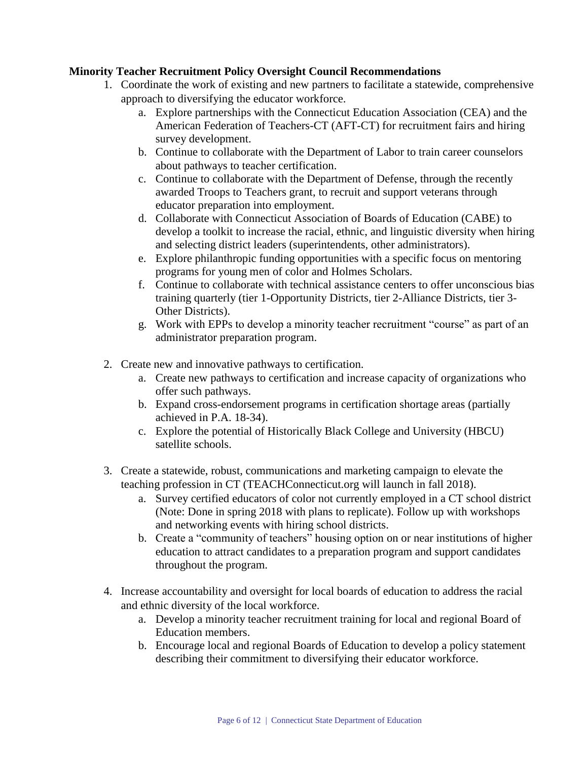## **Minority Teacher Recruitment Policy Oversight Council Recommendations**

- 1. Coordinate the work of existing and new partners to facilitate a statewide, comprehensive approach to diversifying the educator workforce.
	- a. Explore partnerships with the Connecticut Education Association (CEA) and the American Federation of Teachers-CT (AFT-CT) for recruitment fairs and hiring survey development.
	- b. Continue to collaborate with the Department of Labor to train career counselors about pathways to teacher certification.
	- c. Continue to collaborate with the Department of Defense, through the recently awarded Troops to Teachers grant, to recruit and support veterans through educator preparation into employment.
	- d. Collaborate with Connecticut Association of Boards of Education (CABE) to develop a toolkit to increase the racial, ethnic, and linguistic diversity when hiring and selecting district leaders (superintendents, other administrators).
	- e. Explore philanthropic funding opportunities with a specific focus on mentoring programs for young men of color and Holmes Scholars.
	- f. Continue to collaborate with technical assistance centers to offer unconscious bias training quarterly (tier 1-Opportunity Districts, tier 2-Alliance Districts, tier 3- Other Districts).
	- g. Work with EPPs to develop a minority teacher recruitment "course" as part of an administrator preparation program.
- 2. Create new and innovative pathways to certification.
	- a. Create new pathways to certification and increase capacity of organizations who offer such pathways.
	- b. Expand cross-endorsement programs in certification shortage areas (partially achieved in P.A. 18-34).
	- c. Explore the potential of Historically Black College and University (HBCU) satellite schools.
- 3. Create a statewide, robust, communications and marketing campaign to elevate the teaching profession in CT (TEACHConnecticut.org will launch in fall 2018).
	- a. Survey certified educators of color not currently employed in a CT school district (Note: Done in spring 2018 with plans to replicate). Follow up with workshops and networking events with hiring school districts.
	- b. Create a "community of teachers" housing option on or near institutions of higher education to attract candidates to a preparation program and support candidates throughout the program.
- 4. Increase accountability and oversight for local boards of education to address the racial and ethnic diversity of the local workforce.
	- a. Develop a minority teacher recruitment training for local and regional Board of Education members.
	- b. Encourage local and regional Boards of Education to develop a policy statement describing their commitment to diversifying their educator workforce.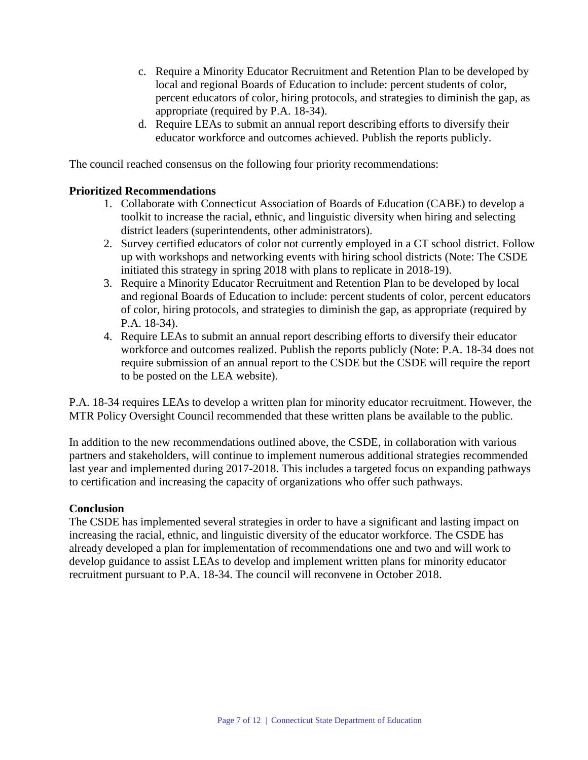- c. Require a Minority Educator Recruitment and Retention Plan to be developed by local and regional Boards of Education to include: percent students of color, percent educators of color, hiring protocols, and strategies to diminish the gap, as appropriate (required by P.A. 18-34).
- d. Require LEAs to submit an annual report describing efforts to diversify their educator workforce and outcomes achieved. Publish the reports publicly.

The council reached consensus on the following four priority recommendations:

## **Prioritized Recommendations**

- 1. Collaborate with Connecticut Association of Boards of Education (CABE) to develop a toolkit to increase the racial, ethnic, and linguistic diversity when hiring and selecting district leaders (superintendents, other administrators).
- 2. Survey certified educators of color not currently employed in a CT school district. Follow up with workshops and networking events with hiring school districts (Note: The CSDE initiated this strategy in spring 2018 with plans to replicate in 2018-19).
- 3. Require a Minority Educator Recruitment and Retention Plan to be developed by local and regional Boards of Education to include: percent students of color, percent educators of color, hiring protocols, and strategies to diminish the gap, as appropriate (required by P.A. 18-34).
- 4. Require LEAs to submit an annual report describing efforts to diversify their educator workforce and outcomes realized. Publish the reports publicly (Note: P.A. 18-34 does not require submission of an annual report to the CSDE but the CSDE will require the report to be posted on the LEA website).

P.A. 18-34 requires LEAs to develop a written plan for minority educator recruitment. However, the MTR Policy Oversight Council recommended that these written plans be available to the public.

In addition to the new recommendations outlined above, the CSDE, in collaboration with various partners and stakeholders, will continue to implement numerous additional strategies recommended last year and implemented during 2017-2018. This includes a targeted focus on expanding pathways to certification and increasing the capacity of organizations who offer such pathways.

## **Conclusion**

The CSDE has implemented several strategies in order to have a significant and lasting impact on increasing the racial, ethnic, and linguistic diversity of the educator workforce. The CSDE has already developed a plan for implementation of recommendations one and two and will work to develop guidance to assist LEAs to develop and implement written plans for minority educator recruitment pursuant to P.A. 18-34. The council will reconvene in October 2018.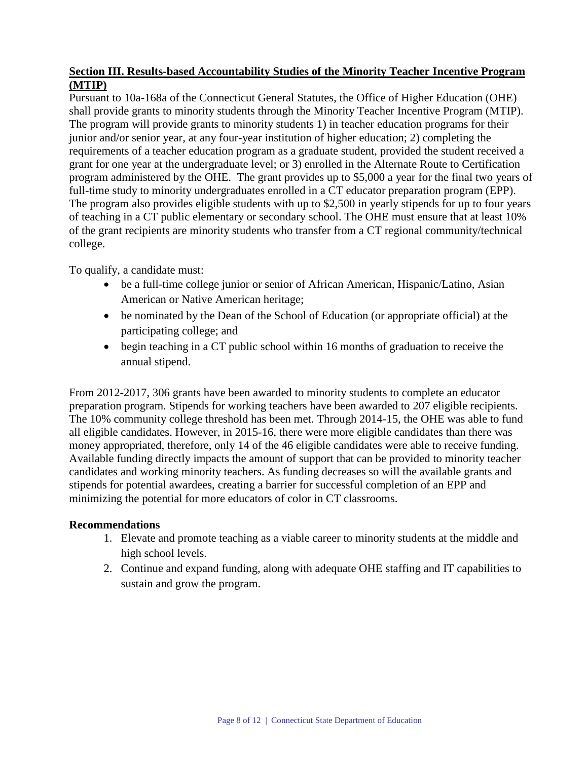## **Section III. Results-based Accountability Studies of the Minority Teacher Incentive Program (MTIP)**

Pursuant to 10a-168a of the Connecticut General Statutes, the Office of Higher Education (OHE) shall provide grants to minority students through the Minority Teacher Incentive Program (MTIP). The program will provide grants to minority students 1) in teacher education programs for their junior and/or senior year, at any four-year institution of higher education; 2) completing the requirements of a teacher education program as a graduate student, provided the student received a grant for one year at the undergraduate level; or 3) enrolled in the Alternate Route to Certification program administered by the OHE. The grant provides up to \$5,000 a year for the final two years of full-time study to minority undergraduates enrolled in a CT educator preparation program (EPP). The program also provides eligible students with up to \$2,500 in yearly stipends for up to four years of teaching in a CT public elementary or secondary school. The OHE must ensure that at least 10% of the grant recipients are minority students who transfer from a CT regional community/technical college.

To qualify, a candidate must:

- be a full-time college junior or senior of African American, Hispanic/Latino, Asian American or Native American heritage;
- be nominated by the Dean of the School of Education (or appropriate official) at the participating college; and
- begin teaching in a CT public school within 16 months of graduation to receive the annual stipend.

From 2012-2017, 306 grants have been awarded to minority students to complete an educator preparation program. Stipends for working teachers have been awarded to 207 eligible recipients. The 10% community college threshold has been met. Through 2014-15, the OHE was able to fund all eligible candidates. However, in 2015-16, there were more eligible candidates than there was money appropriated, therefore, only 14 of the 46 eligible candidates were able to receive funding. Available funding directly impacts the amount of support that can be provided to minority teacher candidates and working minority teachers. As funding decreases so will the available grants and stipends for potential awardees, creating a barrier for successful completion of an EPP and minimizing the potential for more educators of color in CT classrooms.

## **Recommendations**

- 1. Elevate and promote teaching as a viable career to minority students at the middle and high school levels.
- 2. Continue and expand funding, along with adequate OHE staffing and IT capabilities to sustain and grow the program.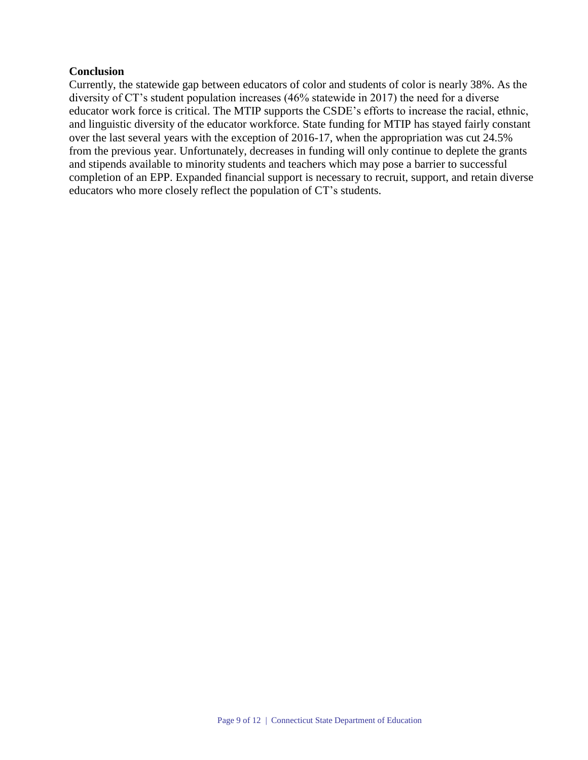## **Conclusion**

Currently, the statewide gap between educators of color and students of color is nearly 38%. As the diversity of CT's student population increases (46% statewide in 2017) the need for a diverse educator work force is critical. The MTIP supports the CSDE's efforts to increase the racial, ethnic, and linguistic diversity of the educator workforce. State funding for MTIP has stayed fairly constant over the last several years with the exception of 2016-17, when the appropriation was cut 24.5% from the previous year. Unfortunately, decreases in funding will only continue to deplete the grants and stipends available to minority students and teachers which may pose a barrier to successful completion of an EPP. Expanded financial support is necessary to recruit, support, and retain diverse educators who more closely reflect the population of CT's students.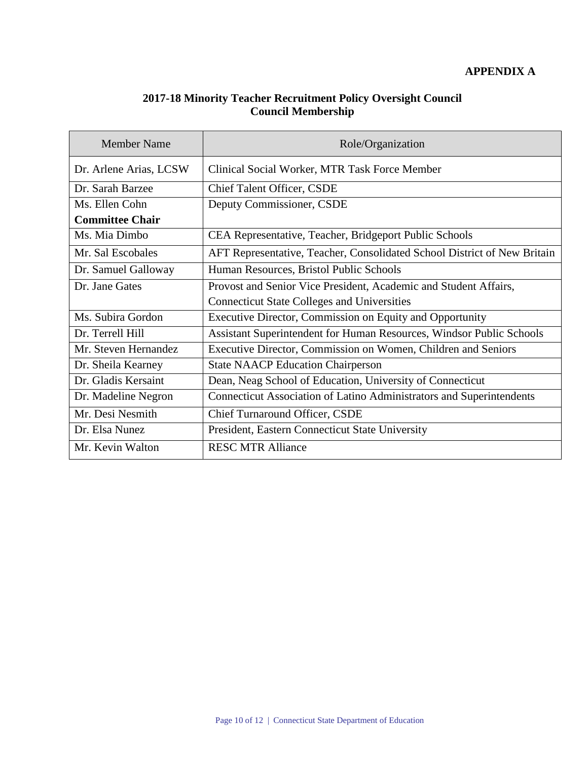## **2017-18 Minority Teacher Recruitment Policy Oversight Council Council Membership**

| <b>Member Name</b>     | Role/Organization                                                        |  |  |  |
|------------------------|--------------------------------------------------------------------------|--|--|--|
| Dr. Arlene Arias, LCSW | Clinical Social Worker, MTR Task Force Member                            |  |  |  |
| Dr. Sarah Barzee       | <b>Chief Talent Officer, CSDE</b>                                        |  |  |  |
| Ms. Ellen Cohn         | Deputy Commissioner, CSDE                                                |  |  |  |
| <b>Committee Chair</b> |                                                                          |  |  |  |
| Ms. Mia Dimbo          | CEA Representative, Teacher, Bridgeport Public Schools                   |  |  |  |
| Mr. Sal Escobales      | AFT Representative, Teacher, Consolidated School District of New Britain |  |  |  |
| Dr. Samuel Galloway    | Human Resources, Bristol Public Schools                                  |  |  |  |
| Dr. Jane Gates         | Provost and Senior Vice President, Academic and Student Affairs,         |  |  |  |
|                        | <b>Connecticut State Colleges and Universities</b>                       |  |  |  |
| Ms. Subira Gordon      | Executive Director, Commission on Equity and Opportunity                 |  |  |  |
| Dr. Terrell Hill       | Assistant Superintendent for Human Resources, Windsor Public Schools     |  |  |  |
| Mr. Steven Hernandez   | Executive Director, Commission on Women, Children and Seniors            |  |  |  |
| Dr. Sheila Kearney     | <b>State NAACP Education Chairperson</b>                                 |  |  |  |
| Dr. Gladis Kersaint    | Dean, Neag School of Education, University of Connecticut                |  |  |  |
| Dr. Madeline Negron    | Connecticut Association of Latino Administrators and Superintendents     |  |  |  |
| Mr. Desi Nesmith       | <b>Chief Turnaround Officer, CSDE</b>                                    |  |  |  |
| Dr. Elsa Nunez         | President, Eastern Connecticut State University                          |  |  |  |
| Mr. Kevin Walton       | <b>RESC MTR Alliance</b>                                                 |  |  |  |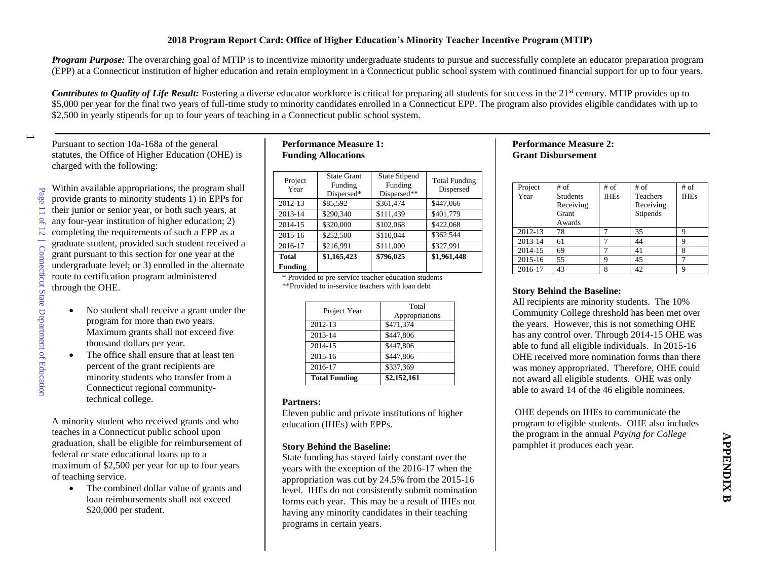*Program Purpose:* The overarching goal of MTIP is to incentivize minority undergraduate students to pursue and successfully complete an educator preparation program (EPP) at a Connecticut institution of higher education and retain employment in a Connecticut public school system with continued financial support for up to four years.

*Contributes to Quality of Life Result:* Fostering a diverse educator workforce is critical for preparing all students for success in the 21<sup>st</sup> century. MTIP provides up to \$5,000 per year for the final two years of full-time study to minority candidates enrolled in a Connecticut EPP. The program also provides eligible candidates with up to \$2,500 in yearly stipends for up to four years of teaching in a Connecticut public school system.

Pursuant to section 10a-168a of the general statutes, the Office of Higher Education (OHE) is charged with the following:

 $\overline{\phantom{0}}$ 

Within available appropriations, the program shall provide grants to minority students 1) in EPPs for their junior or senior year, or both such years, at any four-year institution of higher education; 2) completing the requirements of such a EPP as a graduate student, provided such student received a grant pursuant to this section for one year at the undergraduate level; or 3) enrolled in the alternate route to certification program administered through the OHE.

- No student shall receive a grant under the program for more than two years. Maximum grants shall not exceed five thousand dollars per year.
- The office shall ensure that at least ten percent of the grant recipients are minority students who transfer from a Connecticut regional communitytechnical college.

A minority student who received grants and who teaches in a Connecticut public school upon graduation, shall be eligible for reimbursement of federal or state educational loans up to a maximum of \$2,500 per year for up to four years of teaching service.

• The combined dollar value of grants and loan reimbursements shall not exceed \$20,000 per student.

## **Performance Measure 1: Funding Allocations**

| Project<br>Year                                                                      | <b>State Grant</b><br>Funding<br>Dispersed* | <b>State Stipend</b><br>Funding<br>Dispersed** | <b>Total Funding</b><br>Dispersed |  |  |
|--------------------------------------------------------------------------------------|---------------------------------------------|------------------------------------------------|-----------------------------------|--|--|
| 2012-13                                                                              | \$85,592                                    | \$361,474                                      | \$447,066                         |  |  |
| 2013-14                                                                              | \$290,340                                   | \$111,439                                      | \$401,779                         |  |  |
| 2014-15                                                                              | \$320,000                                   | \$102,068                                      | \$422,068                         |  |  |
| 2015-16                                                                              | \$252,500                                   | \$110,044                                      | \$362,544                         |  |  |
| 2016-17                                                                              | \$216,991                                   | \$111,000                                      | \$327,991                         |  |  |
| <b>Total</b>                                                                         | \$1,165,423                                 | \$796,025                                      | \$1,961,448                       |  |  |
| Funding                                                                              |                                             |                                                |                                   |  |  |
| $\ast$ Decentral and the contraction of the contraction of the contraction of $\ast$ |                                             |                                                |                                   |  |  |

\* Provided to pre-service teacher education students \*\*Provided to in-service teachers with loan debt

| <b>Total Funding</b> | \$2,152,161             |  |
|----------------------|-------------------------|--|
| 2016-17              | \$337,369               |  |
| 2015-16              | \$447,806               |  |
| 2014-15              | \$447,806               |  |
| 2013-14              | \$447,806               |  |
| 2012-13              | \$471,374               |  |
| Project Year         | Total<br>Appropriations |  |

#### **Partners:**

Eleven public and private institutions of higher education (IHEs) with EPPs.

#### **Story Behind the Baseline:**

State funding has stayed fairly constant over the years with the exception of the 2016-17 when the appropriation was cut by 24.5% from the 2015-16 level. IHEs do not consistently submit nomination forms each year. This may be a result of IHEs not having any minority candidates in their teaching programs in certain years.

#### **Performance Measure 2: Grant Disbursement**

| Project<br>Year | # of<br><b>Students</b><br>Receiving<br>Grant<br>Awards | $#$ of<br><b>IHEs</b> | $#$ of<br><b>Teachers</b><br>Receiving<br>Stipends | $#$ of<br><b>IHEs</b> |
|-----------------|---------------------------------------------------------|-----------------------|----------------------------------------------------|-----------------------|
| 2012-13         | 78                                                      |                       | 35                                                 |                       |
| 2013-14         | 61                                                      |                       | 44                                                 | 9                     |
| 2014-15         | 69                                                      |                       | 41                                                 |                       |
| 2015-16         | 55                                                      | 9                     | 45                                                 |                       |
| 2016-17         | 43                                                      | 8                     | 42                                                 |                       |

## **Story Behind the Baseline:**

All recipients are minority students. The 10% Community College threshold has been met over the years. However, this is not something OHE has any control over. Through 2014-15 OHE was able to fund all eligible individuals. In 2015-16 OHE received more nomination forms than there was money appropriated. Therefore, OHE could not award all eligible students. OHE was only able to award 14 of the 46 eligible nominees.

OHE depends on IHEs to communicate the program to eligible students. OHE also includes the program in the annual *Paying for College* pamphlet it produces each year.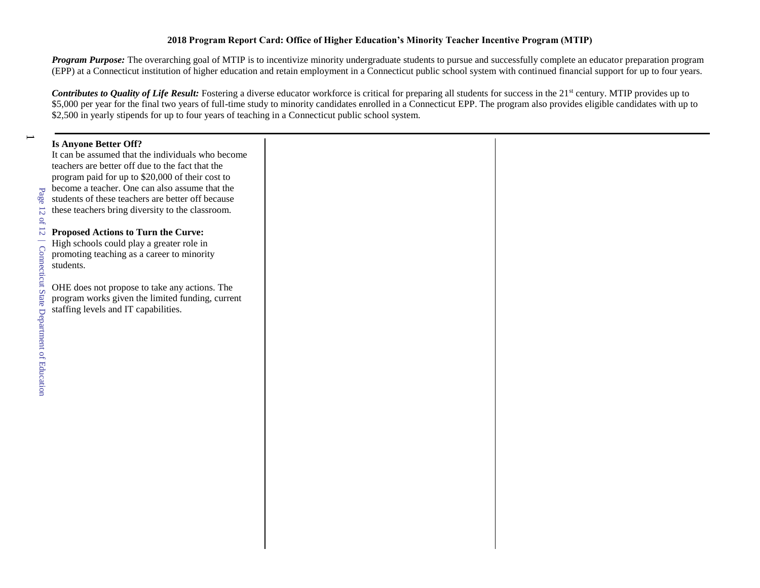#### **2018 Program Report Card: Office of Higher Education's Minority Teacher Incentive Program (MTIP)**

*Program Purpose:* The overarching goal of MTIP is to incentivize minority undergraduate students to pursue and successfully complete an educator preparation program (EPP) at a Connecticut institution of higher education and retain employment in a Connecticut public school system with continued financial support for up to four years.

*Contributes to Quality of Life Result:* Fostering a diverse educator workforce is critical for preparing all students for success in the 21<sup>st</sup> century. MTIP provides up to \$5,000 per year for the final two years of full-time study to minority candidates enrolled in a Connecticut EPP. The program also provides eligible candidates with up to \$2,500 in yearly stipends for up to four years of teaching in a Connecticut public school system.

# **Is Anyone Better Off?**  It can be assumed that the individuals who become teachers are better off due to the fact that the program paid for up to \$20,000 of their cost to become a teacher. One can also assume that the students of these teachers are better off because these teachers bring diversity to the classroom. **Proposed Actions to Turn the Curve:** High schools could play a greater role in promoting teaching as a career to minority students. OHE does not propose to take any actions. The program works given the limited funding, current staffing levels and IT capabilities.

 $\overline{\phantom{0}}$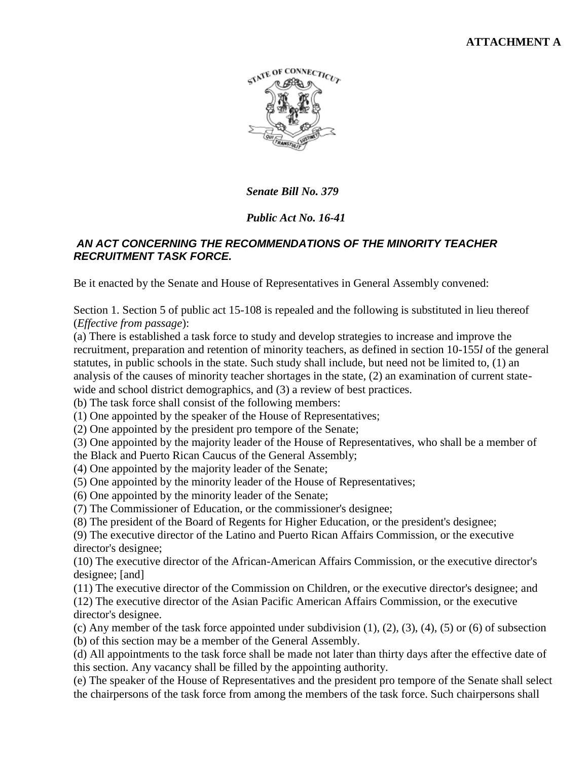## **ATTACHMENT A**



*Senate Bill No. 379*

## *Public Act No. 16-41*

## *AN ACT CONCERNING THE RECOMMENDATIONS OF THE MINORITY TEACHER RECRUITMENT TASK FORCE.*

Be it enacted by the Senate and House of Representatives in General Assembly convened:

Section 1. Section 5 of public act 15-108 is repealed and the following is substituted in lieu thereof (*Effective from passage*):

(a) There is established a task force to study and develop strategies to increase and improve the recruitment, preparation and retention of minority teachers, as defined in section 10-155*l* of the general statutes, in public schools in the state. Such study shall include, but need not be limited to, (1) an analysis of the causes of minority teacher shortages in the state, (2) an examination of current statewide and school district demographics, and (3) a review of best practices.

(b) The task force shall consist of the following members:

(1) One appointed by the speaker of the House of Representatives;

(2) One appointed by the president pro tempore of the Senate;

(3) One appointed by the majority leader of the House of Representatives, who shall be a member of

the Black and Puerto Rican Caucus of the General Assembly;

(4) One appointed by the majority leader of the Senate;

(5) One appointed by the minority leader of the House of Representatives;

(6) One appointed by the minority leader of the Senate;

(7) The Commissioner of Education, or the commissioner's designee;

(8) The president of the Board of Regents for Higher Education, or the president's designee;

(9) The executive director of the Latino and Puerto Rican Affairs Commission, or the executive director's designee;

(10) The executive director of the African-American Affairs Commission, or the executive director's designee; [and]

(11) The executive director of the Commission on Children, or the executive director's designee; and (12) The executive director of the Asian Pacific American Affairs Commission, or the executive director's designee.

(c) Any member of the task force appointed under subdivision  $(1)$ ,  $(2)$ ,  $(3)$ ,  $(4)$ ,  $(5)$  or  $(6)$  of subsection (b) of this section may be a member of the General Assembly.

(d) All appointments to the task force shall be made not later than thirty days after the effective date of this section. Any vacancy shall be filled by the appointing authority.

(e) The speaker of the House of Representatives and the president pro tempore of the Senate shall select the chairpersons of the task force from among the members of the task force. Such chairpersons shall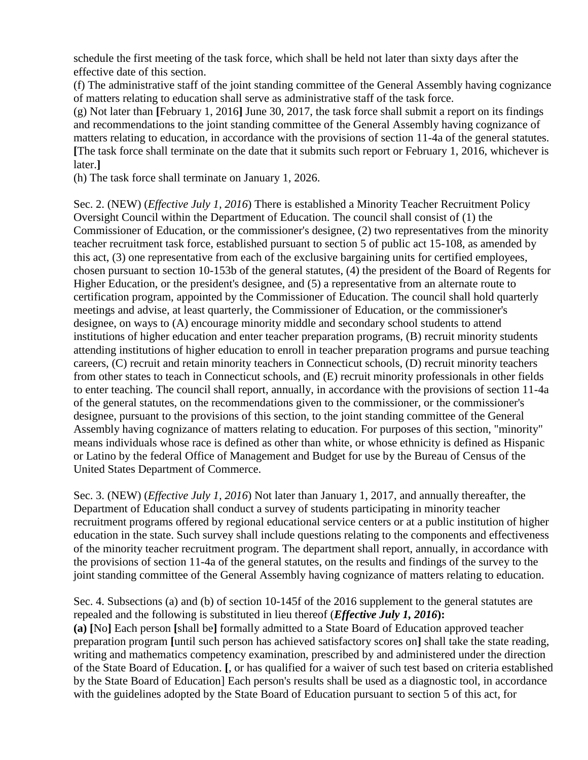schedule the first meeting of the task force, which shall be held not later than sixty days after the effective date of this section.

(f) The administrative staff of the joint standing committee of the General Assembly having cognizance of matters relating to education shall serve as administrative staff of the task force.

(g) Not later than **[**February 1, 2016**]** June 30, 2017, the task force shall submit a report on its findings and recommendations to the joint standing committee of the General Assembly having cognizance of matters relating to education, in accordance with the provisions of section 11-4a of the general statutes. **[**The task force shall terminate on the date that it submits such report or February 1, 2016, whichever is later.**]** 

(h) The task force shall terminate on January 1, 2026.

Sec. 2. (NEW) (*Effective July 1, 2016*) There is established a Minority Teacher Recruitment Policy Oversight Council within the Department of Education. The council shall consist of (1) the Commissioner of Education, or the commissioner's designee, (2) two representatives from the minority teacher recruitment task force, established pursuant to section 5 of public act 15-108, as amended by this act, (3) one representative from each of the exclusive bargaining units for certified employees, chosen pursuant to section 10-153b of the general statutes, (4) the president of the Board of Regents for Higher Education, or the president's designee, and (5) a representative from an alternate route to certification program, appointed by the Commissioner of Education. The council shall hold quarterly meetings and advise, at least quarterly, the Commissioner of Education, or the commissioner's designee, on ways to (A) encourage minority middle and secondary school students to attend institutions of higher education and enter teacher preparation programs, (B) recruit minority students attending institutions of higher education to enroll in teacher preparation programs and pursue teaching careers, (C) recruit and retain minority teachers in Connecticut schools, (D) recruit minority teachers from other states to teach in Connecticut schools, and (E) recruit minority professionals in other fields to enter teaching. The council shall report, annually, in accordance with the provisions of section 11-4a of the general statutes, on the recommendations given to the commissioner, or the commissioner's designee, pursuant to the provisions of this section, to the joint standing committee of the General Assembly having cognizance of matters relating to education. For purposes of this section, "minority" means individuals whose race is defined as other than white, or whose ethnicity is defined as Hispanic or Latino by the federal Office of Management and Budget for use by the Bureau of Census of the United States Department of Commerce.

Sec. 3. (NEW) (*Effective July 1, 2016*) Not later than January 1, 2017, and annually thereafter, the Department of Education shall conduct a survey of students participating in minority teacher recruitment programs offered by regional educational service centers or at a public institution of higher education in the state. Such survey shall include questions relating to the components and effectiveness of the minority teacher recruitment program. The department shall report, annually, in accordance with the provisions of section 11-4a of the general statutes, on the results and findings of the survey to the joint standing committee of the General Assembly having cognizance of matters relating to education.

Sec. 4. Subsections (a) and (b) of section 10-145f of the 2016 supplement to the general statutes are repealed and the following is substituted in lieu thereof (*Effective July 1, 2016***): (a) [**No**]** Each person **[**shall be**]** formally admitted to a State Board of Education approved teacher preparation program **[**until such person has achieved satisfactory scores on**]** shall take the state reading, writing and mathematics competency examination, prescribed by and administered under the direction of the State Board of Education. **[**, or has qualified for a waiver of such test based on criteria established by the State Board of Education] Each person's results shall be used as a diagnostic tool, in accordance with the guidelines adopted by the State Board of Education pursuant to section 5 of this act, for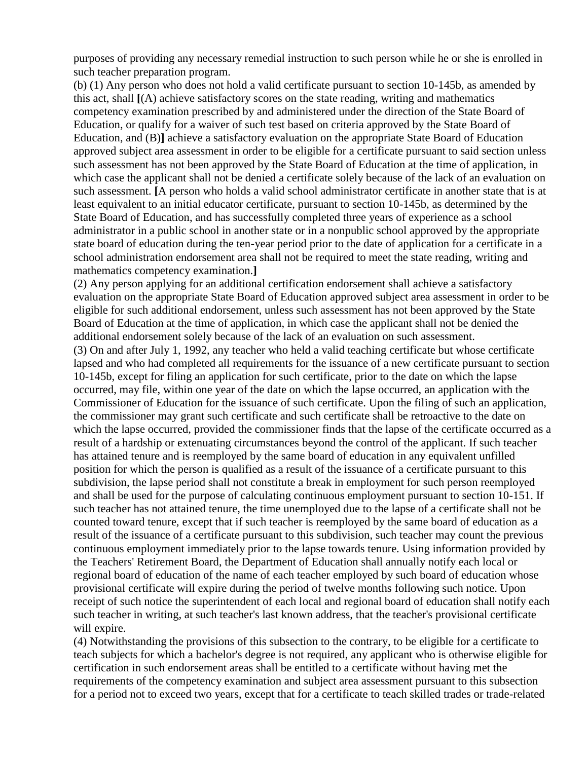purposes of providing any necessary remedial instruction to such person while he or she is enrolled in such teacher preparation program.

(b) (1) Any person who does not hold a valid certificate pursuant to section 10-145b, as amended by this act, shall **[**(A) achieve satisfactory scores on the state reading, writing and mathematics competency examination prescribed by and administered under the direction of the State Board of Education, or qualify for a waiver of such test based on criteria approved by the State Board of Education, and (B)**]** achieve a satisfactory evaluation on the appropriate State Board of Education approved subject area assessment in order to be eligible for a certificate pursuant to said section unless such assessment has not been approved by the State Board of Education at the time of application, in which case the applicant shall not be denied a certificate solely because of the lack of an evaluation on such assessment. **[**A person who holds a valid school administrator certificate in another state that is at least equivalent to an initial educator certificate, pursuant to section 10-145b, as determined by the State Board of Education, and has successfully completed three years of experience as a school administrator in a public school in another state or in a nonpublic school approved by the appropriate state board of education during the ten-year period prior to the date of application for a certificate in a school administration endorsement area shall not be required to meet the state reading, writing and mathematics competency examination.**]** 

(2) Any person applying for an additional certification endorsement shall achieve a satisfactory evaluation on the appropriate State Board of Education approved subject area assessment in order to be eligible for such additional endorsement, unless such assessment has not been approved by the State Board of Education at the time of application, in which case the applicant shall not be denied the additional endorsement solely because of the lack of an evaluation on such assessment. (3) On and after July 1, 1992, any teacher who held a valid teaching certificate but whose certificate lapsed and who had completed all requirements for the issuance of a new certificate pursuant to section 10-145b, except for filing an application for such certificate, prior to the date on which the lapse occurred, may file, within one year of the date on which the lapse occurred, an application with the Commissioner of Education for the issuance of such certificate. Upon the filing of such an application, the commissioner may grant such certificate and such certificate shall be retroactive to the date on which the lapse occurred, provided the commissioner finds that the lapse of the certificate occurred as a result of a hardship or extenuating circumstances beyond the control of the applicant. If such teacher has attained tenure and is reemployed by the same board of education in any equivalent unfilled position for which the person is qualified as a result of the issuance of a certificate pursuant to this subdivision, the lapse period shall not constitute a break in employment for such person reemployed and shall be used for the purpose of calculating continuous employment pursuant to section 10-151. If such teacher has not attained tenure, the time unemployed due to the lapse of a certificate shall not be counted toward tenure, except that if such teacher is reemployed by the same board of education as a result of the issuance of a certificate pursuant to this subdivision, such teacher may count the previous continuous employment immediately prior to the lapse towards tenure. Using information provided by the Teachers' Retirement Board, the Department of Education shall annually notify each local or regional board of education of the name of each teacher employed by such board of education whose provisional certificate will expire during the period of twelve months following such notice. Upon receipt of such notice the superintendent of each local and regional board of education shall notify each such teacher in writing, at such teacher's last known address, that the teacher's provisional certificate will expire.

(4) Notwithstanding the provisions of this subsection to the contrary, to be eligible for a certificate to teach subjects for which a bachelor's degree is not required, any applicant who is otherwise eligible for certification in such endorsement areas shall be entitled to a certificate without having met the requirements of the competency examination and subject area assessment pursuant to this subsection for a period not to exceed two years, except that for a certificate to teach skilled trades or trade-related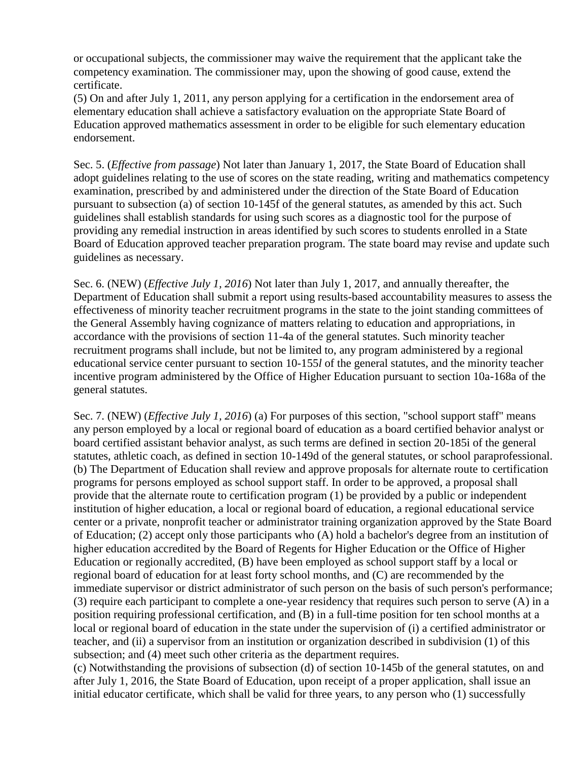or occupational subjects, the commissioner may waive the requirement that the applicant take the competency examination. The commissioner may, upon the showing of good cause, extend the certificate.

(5) On and after July 1, 2011, any person applying for a certification in the endorsement area of elementary education shall achieve a satisfactory evaluation on the appropriate State Board of Education approved mathematics assessment in order to be eligible for such elementary education endorsement.

Sec. 5. (*Effective from passage*) Not later than January 1, 2017, the State Board of Education shall adopt guidelines relating to the use of scores on the state reading, writing and mathematics competency examination, prescribed by and administered under the direction of the State Board of Education pursuant to subsection (a) of section 10-145f of the general statutes, as amended by this act. Such guidelines shall establish standards for using such scores as a diagnostic tool for the purpose of providing any remedial instruction in areas identified by such scores to students enrolled in a State Board of Education approved teacher preparation program. The state board may revise and update such guidelines as necessary.

Sec. 6. (NEW) (*Effective July 1, 2016*) Not later than July 1, 2017, and annually thereafter, the Department of Education shall submit a report using results-based accountability measures to assess the effectiveness of minority teacher recruitment programs in the state to the joint standing committees of the General Assembly having cognizance of matters relating to education and appropriations, in accordance with the provisions of section 11-4a of the general statutes. Such minority teacher recruitment programs shall include, but not be limited to, any program administered by a regional educational service center pursuant to section 10-155*l* of the general statutes, and the minority teacher incentive program administered by the Office of Higher Education pursuant to section 10a-168a of the general statutes.

Sec. 7. (NEW) (*Effective July 1, 2016*) (a) For purposes of this section, "school support staff" means any person employed by a local or regional board of education as a board certified behavior analyst or board certified assistant behavior analyst, as such terms are defined in section 20-185i of the general statutes, athletic coach, as defined in section 10-149d of the general statutes, or school paraprofessional. (b) The Department of Education shall review and approve proposals for alternate route to certification programs for persons employed as school support staff. In order to be approved, a proposal shall provide that the alternate route to certification program (1) be provided by a public or independent institution of higher education, a local or regional board of education, a regional educational service center or a private, nonprofit teacher or administrator training organization approved by the State Board of Education; (2) accept only those participants who (A) hold a bachelor's degree from an institution of higher education accredited by the Board of Regents for Higher Education or the Office of Higher Education or regionally accredited, (B) have been employed as school support staff by a local or regional board of education for at least forty school months, and (C) are recommended by the immediate supervisor or district administrator of such person on the basis of such person's performance; (3) require each participant to complete a one-year residency that requires such person to serve (A) in a position requiring professional certification, and (B) in a full-time position for ten school months at a local or regional board of education in the state under the supervision of (i) a certified administrator or teacher, and (ii) a supervisor from an institution or organization described in subdivision (1) of this subsection; and (4) meet such other criteria as the department requires.

(c) Notwithstanding the provisions of subsection (d) of section 10-145b of the general statutes, on and after July 1, 2016, the State Board of Education, upon receipt of a proper application, shall issue an initial educator certificate, which shall be valid for three years, to any person who (1) successfully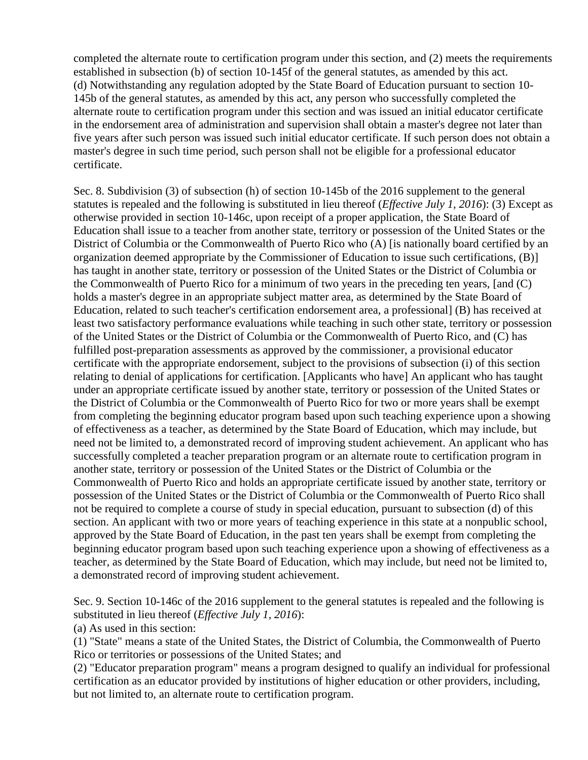completed the alternate route to certification program under this section, and (2) meets the requirements established in subsection (b) of section 10-145f of the general statutes, as amended by this act. (d) Notwithstanding any regulation adopted by the State Board of Education pursuant to section 10- 145b of the general statutes, as amended by this act, any person who successfully completed the alternate route to certification program under this section and was issued an initial educator certificate in the endorsement area of administration and supervision shall obtain a master's degree not later than five years after such person was issued such initial educator certificate. If such person does not obtain a master's degree in such time period, such person shall not be eligible for a professional educator certificate.

Sec. 8. Subdivision (3) of subsection (h) of section 10-145b of the 2016 supplement to the general statutes is repealed and the following is substituted in lieu thereof (*Effective July 1, 2016*): (3) Except as otherwise provided in section 10-146c, upon receipt of a proper application, the State Board of Education shall issue to a teacher from another state, territory or possession of the United States or the District of Columbia or the Commonwealth of Puerto Rico who (A) [is nationally board certified by an organization deemed appropriate by the Commissioner of Education to issue such certifications, (B)] has taught in another state, territory or possession of the United States or the District of Columbia or the Commonwealth of Puerto Rico for a minimum of two years in the preceding ten years, [and (C) holds a master's degree in an appropriate subject matter area, as determined by the State Board of Education, related to such teacher's certification endorsement area, a professional] (B) has received at least two satisfactory performance evaluations while teaching in such other state, territory or possession of the United States or the District of Columbia or the Commonwealth of Puerto Rico, and (C) has fulfilled post-preparation assessments as approved by the commissioner, a provisional educator certificate with the appropriate endorsement, subject to the provisions of subsection (i) of this section relating to denial of applications for certification. [Applicants who have] An applicant who has taught under an appropriate certificate issued by another state, territory or possession of the United States or the District of Columbia or the Commonwealth of Puerto Rico for two or more years shall be exempt from completing the beginning educator program based upon such teaching experience upon a showing of effectiveness as a teacher, as determined by the State Board of Education, which may include, but need not be limited to, a demonstrated record of improving student achievement. An applicant who has successfully completed a teacher preparation program or an alternate route to certification program in another state, territory or possession of the United States or the District of Columbia or the Commonwealth of Puerto Rico and holds an appropriate certificate issued by another state, territory or possession of the United States or the District of Columbia or the Commonwealth of Puerto Rico shall not be required to complete a course of study in special education, pursuant to subsection (d) of this section. An applicant with two or more years of teaching experience in this state at a nonpublic school, approved by the State Board of Education, in the past ten years shall be exempt from completing the beginning educator program based upon such teaching experience upon a showing of effectiveness as a teacher, as determined by the State Board of Education, which may include, but need not be limited to, a demonstrated record of improving student achievement.

Sec. 9. Section 10-146c of the 2016 supplement to the general statutes is repealed and the following is substituted in lieu thereof (*Effective July 1, 2016*):

(a) As used in this section:

(1) "State" means a state of the United States, the District of Columbia, the Commonwealth of Puerto Rico or territories or possessions of the United States; and

(2) "Educator preparation program" means a program designed to qualify an individual for professional certification as an educator provided by institutions of higher education or other providers, including, but not limited to, an alternate route to certification program.